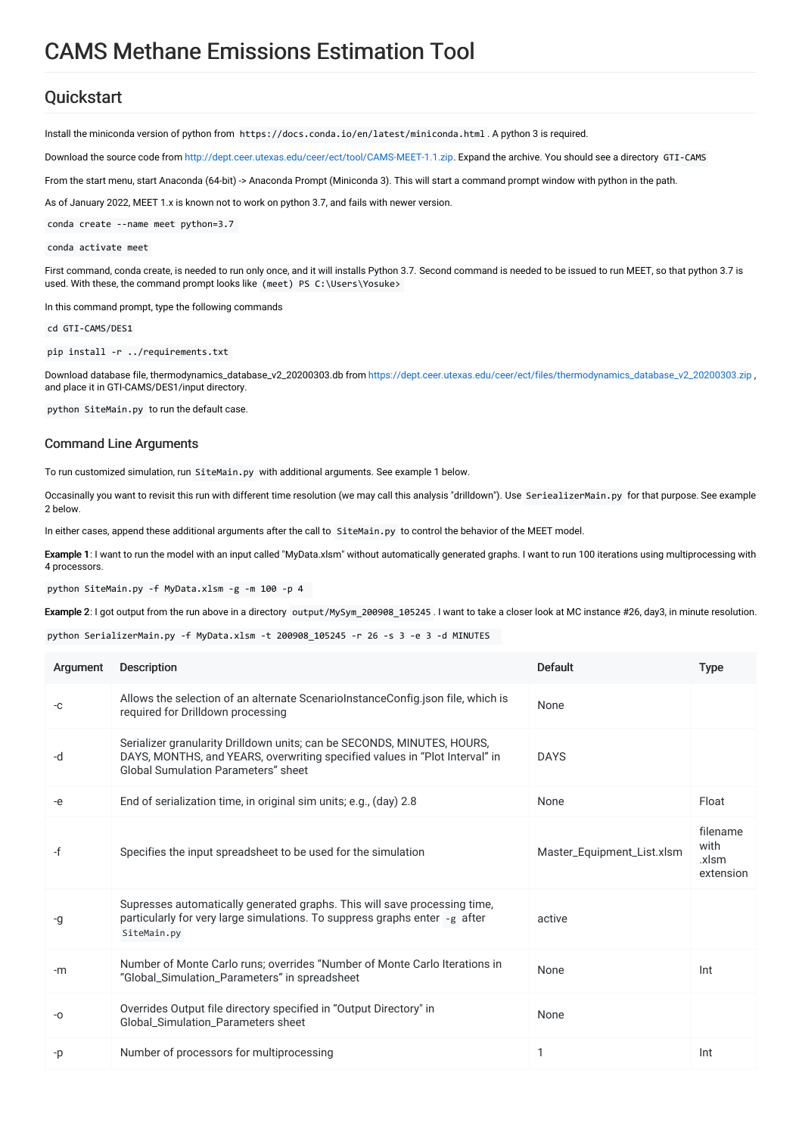# CAMS Methane Emissions Estimation Tool

# **Quickstart**

Install the miniconda version of python from https://docs.conda.io/en/latest/miniconda.html . A python 3 is required.

Download the source code from <http://dept.ceer.utexas.edu/ceer/ect/tool/CAMS-MEET-1.1.zip>. Expand the archive. You should see a directory GTI-CAMS

From the start menu, start Anaconda (64-bit) -> Anaconda Prompt (Miniconda 3). This will start a command prompt window with python in the path.

As of January 2022, MEET 1.x is known not to work on python 3.7, and fails with newer version.

conda create --name meet python=3.7

#### conda activate meet

First command, conda create, is needed to run only once, and it will installs Python 3.7. Second command is needed to be issued to run MEET, so that python 3.7 is used. With these, the command prompt looks like (meet) PS C:\Users\Yosuke>

In this command prompt, type the following commands

cd GTI-CAMS/DES1

pip install -r ../requirements.txt

Download database file, thermodynamics\_database\_v2\_20200303.db from [https://dept.ceer.utexas.edu/ceer/ect/files/thermodynamics\\_database\\_v2\\_20200303.zip](https://dept.ceer.utexas.edu/ceer/ect/files/thermodynamics_database_v2_20200303.zip) , and place it in GTI-CAMS/DES1/input directory.

python SiteMain.py to run the default case.

### Command Line Arguments

To run customized simulation, run SiteMain.py with additional arguments. See example 1 below.

Occasinally you want to revisit this run with different time resolution (we may call this analysis "drilldown"). Use SeriealizerMain.py for that purpose. See example 2 below.

In either cases, append these additional arguments after the call to SiteMain.py to control the behavior of the MEET model.

Example 1: I want to run the model with an input called "MyData.xlsm" without automatically generated graphs. I want to run 100 iterations using multiprocessing with 4 processors.

python SiteMain.py -f MyData.xlsm -g -m 100 -p 4

Example 2: I got output from the run above in a directory output/MySym\_200908\_105245 . I want to take a closer look at MC instance #26, day3, in minute resolution.

python SerializerMain.py -f MyData.xlsm -t 200908\_105245 -r 26 -s 3 -e 3 -d MINUTES

| Argument | <b>Description</b>                                                                                                                                                                            | <b>Default</b>             | <b>Type</b>                            |
|----------|-----------------------------------------------------------------------------------------------------------------------------------------------------------------------------------------------|----------------------------|----------------------------------------|
| -C       | Allows the selection of an alternate ScenarioInstanceConfig.json file, which is<br>required for Drilldown processing                                                                          | None                       |                                        |
| -d       | Serializer granularity Drilldown units; can be SECONDS, MINUTES, HOURS,<br>DAYS, MONTHS, and YEARS, overwriting specified values in "Plot Interval" in<br>Global Sumulation Parameters" sheet | <b>DAYS</b>                |                                        |
| -e       | End of serialization time, in original sim units; e.g., (day) 2.8                                                                                                                             | None                       | Float                                  |
| -f       | Specifies the input spreadsheet to be used for the simulation                                                                                                                                 | Master_Equipment_List.xlsm | filename<br>with<br>.xlsm<br>extension |
| -g       | Supresses automatically generated graphs. This will save processing time,<br>particularly for very large simulations. To suppress graphs enter -g after<br>SiteMain.py                        | active                     |                                        |
| $-m$     | Number of Monte Carlo runs; overrides "Number of Monte Carlo Iterations in<br>"Global_Simulation_Parameters" in spreadsheet                                                                   | None                       | Int                                    |
| -0       | Overrides Output file directory specified in "Output Directory" in<br><b>Global Simulation Parameters sheet</b>                                                                               | None                       |                                        |
| -p       | Number of processors for multiprocessing                                                                                                                                                      | 1                          | Int                                    |